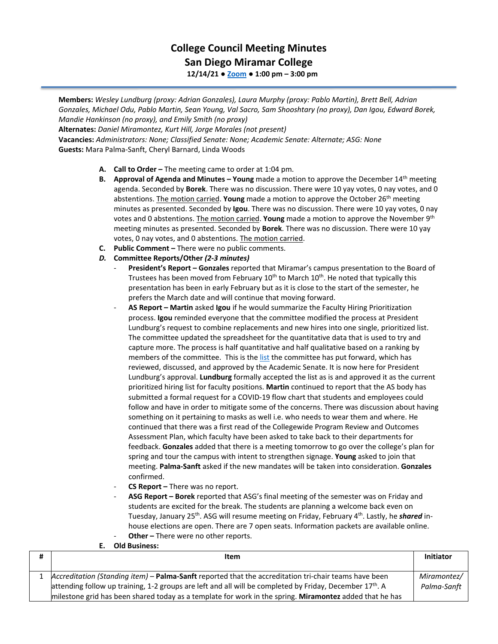## **College Council Meeting Minutes San Diego Miramar College**

**12/14/21 ● [Zoom](https://cccconfer.zoom.us/j/92354948089?pwd=clQvQ3pSdi84K2xTSnVLN1UyOXhpQT09) ● 1:00 pm – 3:00 pm**

**Members:** *Wesley Lundburg (proxy: Adrian Gonzales), Laura Murphy (proxy: Pablo Martin), Brett Bell, Adrian Gonzales, Michael Odu, Pablo Martin, Sean Young, Val Sacro, Sam Shooshtary (no proxy), Dan Igou, Edward Borek, Mandie Hankinson (no proxy), and Emily Smith (no proxy)*

**Alternates:** *Daniel Miramontez, Kurt Hill, Jorge Morales (not present)*

**Vacancies:** *Administrators: None; Classified Senate: None; Academic Senate: Alternate; ASG: None* **Guests:** Mara Palma-Sanft, Cheryl Barnard, Linda Woods

- **A. Call to Order –** The meeting came to order at 1:04 pm.
- **B. Approval of Agenda and Minutes – Young** made a motion to approve the December 14th meeting agenda. Seconded by **Borek**. There was no discussion. There were 10 yay votes, 0 nay votes, and 0 abstentions. The motion carried. **Young** made a motion to approve the October 26th meeting minutes as presented. Seconded by **Igou**. There was no discussion. There were 10 yay votes, 0 nay votes and 0 abstentions. The motion carried. **Young** made a motion to approve the November 9th meeting minutes as presented. Seconded by **Borek**. There was no discussion. There were 10 yay votes, 0 nay votes, and 0 abstentions. The motion carried.
- **C. Public Comment –** There were no public comments.
- *D.* **Committee Reports/Other** *(2-3 minutes)*
	- **President's Report – Gonzales** reported that Miramar's campus presentation to the Board of Trustees has been moved from February  $10<sup>th</sup>$  to March  $10<sup>th</sup>$ . He noted that typically this presentation has been in early February but as it is close to the start of the semester, he prefers the March date and will continue that moving forward.
	- **AS Report – Martin** asked **Igou** if he would summarize the Faculty Hiring Prioritization process. **Igou** reminded everyone that the committee modified the process at President Lundburg's request to combine replacements and new hires into one single, prioritized list. The committee updated the spreadsheet for the quantitative data that is used to try and capture more. The process is half quantitative and half qualitative based on a ranking by members of the committee. This is th[e list](https://sdmiramar.edu/sites/default/files/2022-01/tentative_prioritized_hiring_list_2021.pdf) the committee has put forward, which has reviewed, discussed, and approved by the Academic Senate. It is now here for President Lundburg's approval. **Lundburg** formally accepted the list as is and approved it as the current prioritized hiring list for faculty positions. **Martin** continued to report that the AS body has submitted a formal request for a COVID-19 flow chart that students and employees could follow and have in order to mitigate some of the concerns. There was discussion about having something on it pertaining to masks as well i.e. who needs to wear them and where. He continued that there was a first read of the Collegewide Program Review and Outcomes Assessment Plan, which faculty have been asked to take back to their departments for feedback. **Gonzales** added that there is a meeting tomorrow to go over the college's plan for spring and tour the campus with intent to strengthen signage. **Young** asked to join that meeting. **Palma-Sanft** asked if the new mandates will be taken into consideration. **Gonzales** confirmed.
	- **CS Report** There was no report.
	- **ASG Report – Borek** reported that ASG's final meeting of the semester was on Friday and students are excited for the break. The students are planning a welcome back even on Tuesday, January 25<sup>th</sup>. ASG will resume meeting on Friday, February 4<sup>th</sup>. Lastly, he *shared* inhouse elections are open. There are 7 open seats. Information packets are available online. Other - There were no other reports.

## **E. Old Business:**

| Item                                                                                                                                                                                                                                                                                                                                     | Initiator                  |
|------------------------------------------------------------------------------------------------------------------------------------------------------------------------------------------------------------------------------------------------------------------------------------------------------------------------------------------|----------------------------|
| Accreditation (Standing item) - Palma-Sanft reported that the accreditation tri-chair teams have been<br>attending follow up training, 1-2 groups are left and all will be completed by Friday, December 17 <sup>th</sup> . A<br>milestone grid has been shared today as a template for work in the spring. Miramontez added that he has | Miramontez/<br>Palma-Sanft |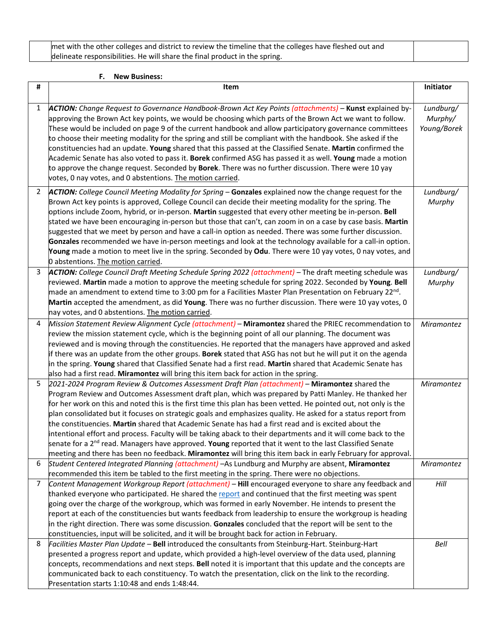met with the other colleges and district to review the timeline that the colleges have fleshed out and delineate responsibilities. He will share the final product in the spring.

## **F. New Business:**

| #              | Item                                                                                                                                                                                                                                                                                                                                                                                                                                                                                                                                                                                                                                                                                                                                                                                                                                                                                                           | Initiator                           |
|----------------|----------------------------------------------------------------------------------------------------------------------------------------------------------------------------------------------------------------------------------------------------------------------------------------------------------------------------------------------------------------------------------------------------------------------------------------------------------------------------------------------------------------------------------------------------------------------------------------------------------------------------------------------------------------------------------------------------------------------------------------------------------------------------------------------------------------------------------------------------------------------------------------------------------------|-------------------------------------|
| 1              | ACTION: Change Request to Governance Handbook-Brown Act Key Points (attachments) - Kunst explained by-<br>approving the Brown Act key points, we would be choosing which parts of the Brown Act we want to follow.<br>These would be included on page 9 of the current handbook and allow participatory governance committees<br>to choose their meeting modality for the spring and still be compliant with the handbook. She asked if the<br>constituencies had an update. Young shared that this passed at the Classified Senate. Martin confirmed the<br>Academic Senate has also voted to pass it. Borek confirmed ASG has passed it as well. Young made a motion<br>to approve the change request. Seconded by Borek. There was no further discussion. There were 10 yay<br>votes, 0 nay votes, and 0 abstentions. The motion carried.                                                                   | Lundburg/<br>Murphy/<br>Young/Borek |
| $\overline{2}$ | ACTION: College Council Meeting Modality for Spring - Gonzales explained now the change request for the<br>Brown Act key points is approved, College Council can decide their meeting modality for the spring. The<br>options include Zoom, hybrid, or in-person. Martin suggested that every other meeting be in-person. Bell<br>stated we have been encouraging in-person but those that can't, can zoom in on a case by case basis. Martin<br>suggested that we meet by person and have a call-in option as needed. There was some further discussion.<br>Gonzales recommended we have in-person meetings and look at the technology available for a call-in option.<br>Young made a motion to meet live in the spring. Seconded by Odu. There were 10 yay votes, 0 nay votes, and<br>0 abstentions. The motion carried.                                                                                    | Lundburg/<br>Murphy                 |
| 3              | ACTION: College Council Draft Meeting Schedule Spring 2022 (attachment) - The draft meeting schedule was<br>reviewed. Martin made a motion to approve the meeting schedule for spring 2022. Seconded by Young. Bell<br>made an amendment to extend time to 3:00 pm for a Facilities Master Plan Presentation on February 22 <sup>nd</sup> .<br>Martin accepted the amendment, as did Young. There was no further discussion. There were 10 yay votes, 0<br>nay votes, and 0 abstentions. The motion carried.                                                                                                                                                                                                                                                                                                                                                                                                   | Lundburg/<br>Murphy                 |
| 4              | Mission Statement Review Alignment Cycle (attachment) - Miramontez shared the PRIEC recommendation to<br>review the mission statement cycle, which is the beginning point of all our planning. The document was<br>reviewed and is moving through the constituencies. He reported that the managers have approved and asked<br>if there was an update from the other groups. Borek stated that ASG has not but he will put it on the agenda<br>in the spring. Young shared that Classified Senate had a first read. Martin shared that Academic Senate has<br>also had a first read. Miramontez will bring this item back for action in the spring.                                                                                                                                                                                                                                                            | Miramontez                          |
| 5              | 2021-2024 Program Review & Outcomes Assessment Draft Plan (attachment) - Miramontez shared the<br>Program Review and Outcomes Assessment draft plan, which was prepared by Patti Manley. He thanked her<br>for her work on this and noted this is the first time this plan has been vetted. He pointed out, not only is the<br>plan consolidated but it focuses on strategic goals and emphasizes quality. He asked for a status report from<br>the constituencies. Martin shared that Academic Senate has had a first read and is excited about the<br>intentional effort and process. Faculty will be taking aback to their departments and it will come back to the<br>senate for a 2 <sup>nd</sup> read. Managers have approved. Young reported that it went to the last Classified Senate<br>meeting and there has been no feedback. Miramontez will bring this item back in early February for approval. | Miramontez                          |
| 6              | Student Centered Integrated Planning (attachment) -As Lundburg and Murphy are absent, Miramontez<br>recommended this item be tabled to the first meeting in the spring. There were no objections.                                                                                                                                                                                                                                                                                                                                                                                                                                                                                                                                                                                                                                                                                                              | Miramontez                          |
| $\overline{7}$ | Content Management Workgroup Report (attachment) - Hill encouraged everyone to share any feedback and<br>thanked everyone who participated. He shared the report and continued that the first meeting was spent<br>going over the charge of the workgroup, which was formed in early November. He intends to present the<br>report at each of the constituencies but wants feedback from leadership to ensure the workgroup is heading<br>in the right direction. There was some discussion. Gonzales concluded that the report will be sent to the<br>constituencies, input will be solicited, and it will be brought back for action in February.                                                                                                                                                                                                                                                            | Hill                                |
| 8              | Facilities Master Plan Update - Bell introduced the consultants from Steinburg-Hart. Steinburg-Hart<br>presented a progress report and update, which provided a high-level overview of the data used, planning<br>concepts, recommendations and next steps. Bell noted it is important that this update and the concepts are<br>communicated back to each constituency. To watch the presentation, click on the link to the recording.<br>Presentation starts 1:10:48 and ends 1:48:44.                                                                                                                                                                                                                                                                                                                                                                                                                        | Bell                                |